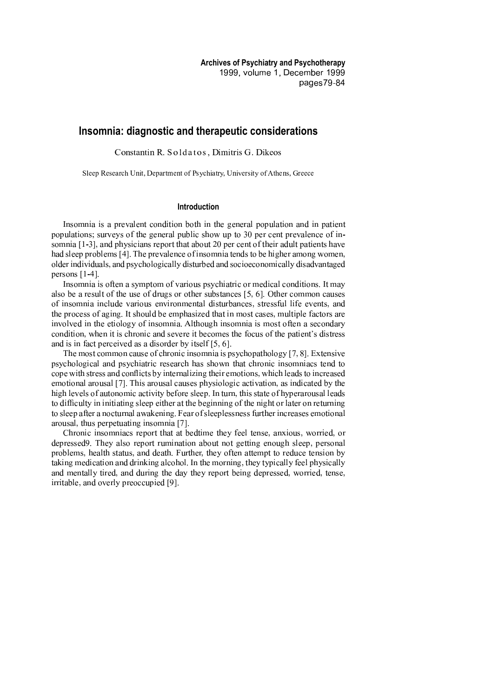# **Insomnia: diagnostic and therapeutic considerations**

Constantin R. Soldatos. Dimitris G. Dikeo

Sleep Research Unit, Department of Psychiatry, University of Athens, Greece

### **Introduction**

Insomnia is a prevalent condition both in the general population and in patient populations; surveys of the general public show up to 30 per cent prevalence of insomnia  $[1-3]$ , and physicians report that about 20 per cent of their adult patients have had sleep problems [4]. The prevalence of insomnia tends to be higher among women, older individuals, and psychologically disturbed and socioeconomically disadvantaged persons  $[1-4]$ .

Insomnia is often a symptom of various psychiatric or medical conditions. It may also be a result of the use of drugs or other substances  $[5, 6]$ . Other common causes of insomnia include various environmental disturbances, stressful life events, and the process of aging. It should be emphasized that in most cases, multiple factors are involved in the etiology of insomnia. Although insomnia is most often a secondary condition, when it is chronic and severe it becomes the focus of the patient's distress and is in fact perceived as a disorder by itself  $[5, 6]$ .

The most common cause of chronic insomnia is psychopathology  $[7, 8]$ . Extensive psychological and psychiatric research has shown that chronic insomniacs tend to cope with stress and conflicts by internalizing their emotions, which leads to increased emotional arousal [7]. This arousal causes physiologic activation, as indicated by the high levels of autonomic activity before sleep. In turn, this state of hyperarousal leads to difficulty in initiating sleep either at the beginning of the night or later on returning to sleep after a nocturnal awakening. Fear of sleeplessness further increases emotional arousal, thus perpetuating insomnia [7].

<sup>p</sup> <sup>P</sup> <sup>H</sup> <sup>C</sup> <sup>A</sup> <sup>E</sup> <sup>M</sup> <sup>E</sup> <sup>A</sup> <sup>B</sup> <sup>C</sup> <sup>D</sup> <sup>A</sup> <sup>E</sup> <sup>F</sup> <sup>M</sup> <sup>B</sup> <sup>H</sup> <sup>I</sup> <sup>G</sup> <sup>C</sup> <sup>H</sup> <sup>L</sup> <sup>L</sup> <sup>P</sup> <sup>F</sup> <sup>L</sup> <sup>F</sup> <sup>L</sup> <sup>O</sup> <sup>I</sup> <sup>N</sup> <sup>L</sup> <sup>E</sup> <sup>D</sup> <sup>I</sup> <sup>L</sup> <sup>P</sup> <sup>I</sup> <sup>T</sup> <sup>U</sup> <sup>I</sup> <sup>I</sup> <sup>K</sup> <sup>L</sup> <sup>I</sup> <sup>A</sup> <sup>B</sup> <sup>I</sup> ] <sup>F</sup> <sup>A</sup> <sup>k</sup> <sup>E</sup> <sup>C</sup> <sup>R</sup> <sup>B</sup> ] <sup>V</sup> <sup>C</sup> <sup>H</sup> <sup>H</sup> <sup>E</sup> <sup>I</sup> <sup>N</sup> ] <sup>C</sup> <sup>H</sup> depressed 9. They also report rumination about not getting enough sleep, personal problems, health status, and death. Further, they often attempt to reduce tension by taking medication and drinking alcohol. In the morning, they typically feel physically and mentally tired, and during the day they report being depressed, worried, tense, irritable, and overly preoccupied [9].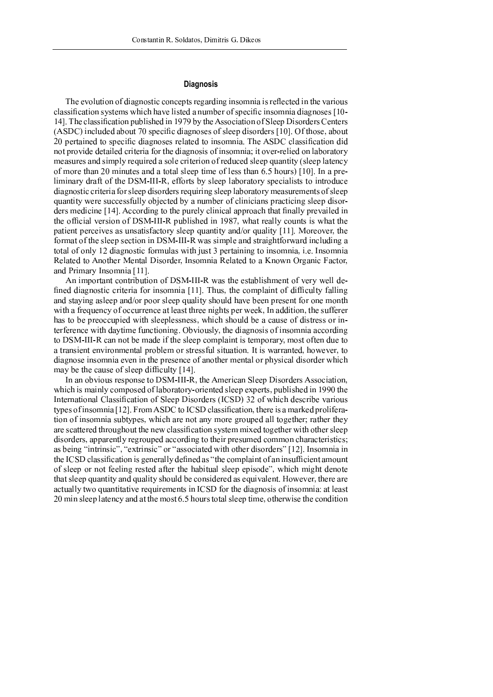## **Diagnosis**

The evolution of diagnostic concepts regarding insomnia is reflected in the various classification systems which have listed a number of specific insomnia diagnoses [10-14]. The classification published in 1979 by the Association of Sleep Disorders Centers  $\ell$  ; and at the following the following the contract of the contract of the contract of the contract of the contract of the contract of the contract of the contract of the contract of the contract of the contract of the ® £ ¦ § ¨ © not provide detailed criteria for the diagnosis of insomnia; it over-relied on laboratory ° ° <sup>ª</sup> ® <sup>±</sup> £ ² « ¢ £ <sup>³</sup> liminary draft of the DSM-III-R, efforts by sleep laboratory specialists to introduce diagnostic criteria for sleep disorders requiring sleep laboratory measurements of sleep quantity were successfully objected by a number of clinicians practicing sleep disorders medicine [14]. According to the purely clinical approach that finally prevailed in the official version of DSM-III-R published in 1987, what really counts is what the patient perceives as unsatisfactory sleep quantity and/or quality  $[11]$ . Moreover, the format of the sleep section in DSM-III-R was simple and straightforward including a ® ¶ <sup>¹</sup> £ £ <sup>³</sup> Related to Another Mental Disorder, Insomnia Related to a Known Organic Factor, and Primary Insomnia [11].

An important contribution of DSM-III-R was the establishment of very well defined diagnostic criteria for insomnia [11]. Thus, the complaint of difficulty falling and staying asleep and/or poor sleep quality should have been present for one month with a frequency of occurrence at least three nights per week, In addition, the sufferer has to be preoccupied with sleeplessness, which should be a cause of distress or interference with daytime functioning. Obviously, the diagnosis of insomnia according to DSM-III-R can not be made if the sleep complaint is temporary, most often due to a transient environmental problem or stressful situation. It is warranted, however, to diagnose insomnia even in the presence of another mental or physical disorder which may be the cause of sleep difficulty  $[14]$ .

In an obvious response to DSM-III-R, the American Sleep Disorders Association, which is mainly composed of laboratory-oriented sleep experts, published in 1990 the ا ا الله عليه المحمد العالمية المحمد المحمد العام العام العالمية المحمد العالمية العام العالمية العالمية العام ا  $\alpha$  , and  $\alpha$  is the set of  $\alpha$  is the set of  $\alpha$  of  $\alpha$  is the set of  $\alpha$  of  $\alpha$  is the set of  $\alpha$ tion of insomnia subtypes, which are not any more grouped all together; rather they are scattered throughout the new classification system mixed together with other sleep disorders, apparently regrouped according to their presumed common characteristics; ¿ <sup>À</sup> ¿ <sup>¾</sup> <sup>À</sup> ¿ <sup>À</sup> ® ¢ £ <sup>³</sup> the ICSD classification is generally defined as "the complaint of an insufficient amount of sleep or not feeling rested after the habitual sleep episode", which might denote that sleep quantity and quality should be considered as equivalent. However, there are actually two quantitative requirements in ICSD for the diagnosis of insomnia: at least  $\blacksquare$  . The set of the set of the set of the set of the set of the set of the set of the set of the set of the set of the set of the set of the set of the set of the set of the set of the set of the set of the set of the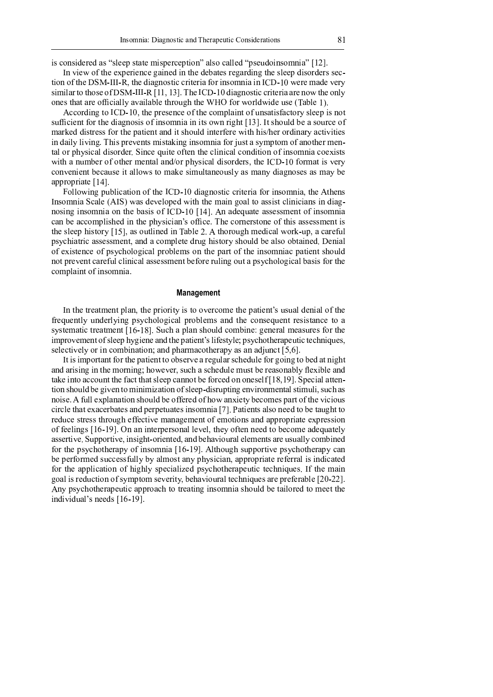is considered as "sleep state misperception" also called "pseudoinsomnia" [12].

In view of the experience gained in the debates regarding the sleep disorders section of the DSM-III-R, the diagnostic criteria for insomnia in ICD-10 were made very similar to those of DSM-III-R  $[11, 13]$ . The ICD-10 diagnostic criteria are now the only ones that are officially available through the WHO for worldwide use (Table 1).

According to ICD-10, the presence of the complaint of unsatisfactory sleep is not sufficient for the diagnosis of insomnia in its own right [13]. It should be a source of marked distress for the patient and it should interfere with his/her ordinary activities in daily living. This prevents mistaking insomnia for just a symptom of another mental or physical disorder. Since quite often the clinical condition of insomnia coexists with a number of other mental and/or physical disorders, the ICD-10 format is very convenient because it allows to make simultaneously as many diagnoses as may be appropriate [14].

Following publication of the ICD-10 diagnostic criteria for insomnia, the Athens Insomnia Scale (AIS) was developed with the main goal to assist clinicians in diagnosing insomnia on the basis of ICD-10 [14]. An adequate assessment of insomnia can be accomplished in the physician's office. The cornerstone of this assessment is the sleep history  $[15]$ , as outlined in Table 2. A thorough medical work-up, a careful psychiatric assessment, and a complete drug history should be also obtained. Denial of existence of psychological problems on the part of the insomniac patient should not prevent careful clinical assessment before ruling out a psychological basis for the complaint of insomnia.

### **Management**

In the treatment plan, the priority is to overcome the patient's usual denial of the frequently underlying psychological problems and the consequent resistance to a systematic treatment [16-18]. Such a plan should combine: general measures for the improvement of sleep hygiene and the patient's lifestyle; psychotherapeutic techniques, selectively or in combination; and pharmacotherapy as an adjunct [5,6].

It is important for the patient to observe a regular schedule for going to bed at night and arising in the morning; however, such a schedule must be reasonably flexible and take into account the fact that sleep cannot be forced on oneself [18,19]. Special attention should be given to minimization of sleep-disrupting environmental stimuli, such as noise. A full explanation should be offered of how anxiety becomes part of the vicious circle that exacerbates and perpetuates insomnia [7]. Patients also need to be taught to reduce stress through effective management of emotions and appropriate expression of feelings [16-19]. On an interpersonal level, they often need to become adequately assertive. Supportive, insight-oriented, and behavioural elements are usually combined for the psychotherapy of insomnia [16-19]. Although supportive psychotherapy can be performed successfully by almost any physician, appropriate referral is indicated for the application of highly specialized psychotherapeutic techniques. If the main goal is reduction of symptom severity, behavioural techniques are preferable [20-22]. Any psychotherapeutic approach to treating insomnia should be tailored to meet the individual's needs [16-19].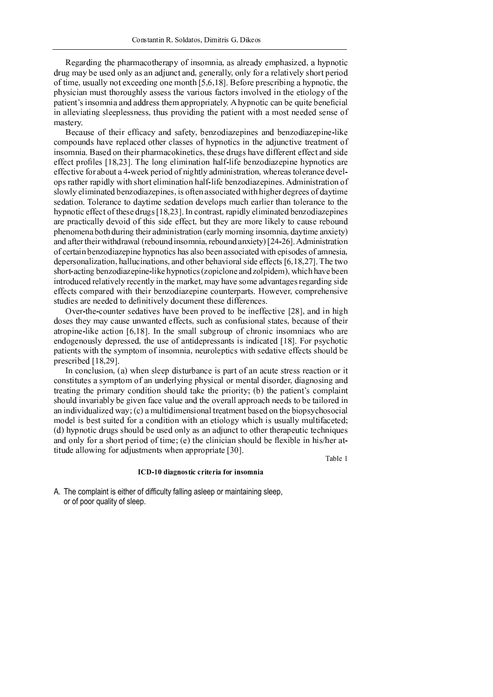Regarding the pharmacotherany of insomnia, as already emphasized, a hypnotic drug may be used only as an adjunct and, generally, only for a relatively short period of time, usually not exceeding one month  $[5, 6, 18]$ . Before prescribing a hypnotic, the physician must thoroughly assess the various factors involved in the etiology of the patient's insomnia and address them appropriately. A hypnotic can be quite beneficial in alleviating sleeplessness, thus providing the patient with a most needed sense of mastery

Because of their efficacy and safety, benzodiazepines and benzodiazepine-like compounds have replaced other classes of hypnotics in the adjunctive treatment of insomnia. Based on their pharmacokinetics, these drugs have different effect and side effect profiles [18,23]. The long elimination half-life benzodiazepine hypnotics are effective for about a 4-week period of nightly administration, whereas tolerance develops rather rapidly with short elimination half-life benzodiazepines. Administration of slowly eliminated benzodiazepines, is often associated with higher degrees of daytime sedation. Tolerance to daytime sedation develops much earlier than tolerance to the hypnotic effect of these drugs [18,23]. In contrast, rapidly eliminated benzodiazepines are practically devoid of this side effect, but they are more likely to cause rebound phenomena both during their administration (early morning insomnia, daytime anxiety) and after their withdrawal (rebound insomnia, rebound anxiety) [24-26]. Administration of certain benzodiazepine hypnotics has also been associated with episodes of amnesia, depersonalization, hallucinations, and other behavioral side effects [6,18,27]. The two short-acting benzodiazepine-like hypnotics (zopiclone and zolpidem), which have been introduced relatively recently in the market, may have some advantages regarding side effects compared with their benzodiazepine counterparts. However, comprehensive studies are needed to definitively document these differences.

Over-the-counter sedatives have been proved to be ineffective [28], and in high doses they may cause unwanted effects, such as confusional states, because of their atropine-like action  $[6,18]$ . In the small subgroup of chronic insomniacs who are endogenously depressed, the use of antidepressants is indicated [18]. For psychotic patients with the symptom of insomnia, neuroleptics with sedative effects should be prescribed  $[18,29]$ .

In conclusion, (a) when sleep disturbance is part of an acute stress reaction or it constitutes a symptom of an underlying physical or mental disorder, diagnosing and treating the primary condition should take the priority; (b) the patient's complaint should invariably be given face value and the overall approach needs to be tailored in an individualized way; (c) a multidimensional treatment based on the biopsychosocial model is best suited for a condition with an etiology which is usually multifaceted; (d) hypnotic drugs should be used only as an adjunct to other therapeutic techniques and only for a short period of time; (e) the clinician should be flexible in his/her attitude allowing for adjustments when appropriate [30].

Table 1

#### ICD-10 diagnostic criteria for insomnia

A. The complaint is either of difficulty falling asleep or maintaining sleep, or of poor quality of sleep.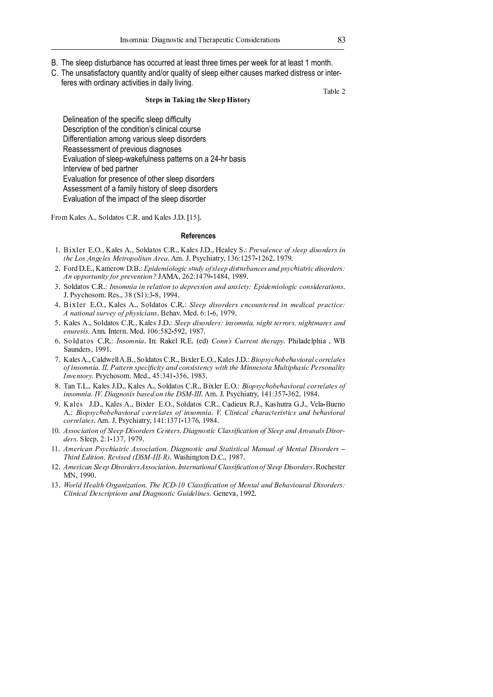- B. The sleep disturbance has occurred at least three times per week for at least 1 month.
- C. The unsatisfactory quantity and/or quality of sleep either causes marked distress or interferes with ordinary activities in daily living.

#### **Steps in Taking the Sleep History**

Table 2

Delineation of the specific sleep difficulty Description of the condition's clinical course Differentiation among various sleep disorders Reassessment of previous diagnoses Evaluation of sleep-wakefulness patterns on a 24-hr basis Interview of bed partner Evaluation for presence of other sleep disorders Assessment of a family history of sleep disorders Evaluation of the impact of the sleep disorder

From Kales A., Soldatos C.R. and Kales J.D. [15].

#### **References**

- 1. Bixler E.O., Kales A., Soldatos C.R., Kales J.D., Healey S.: Prevalence of sleep disorders in  $A$   $\bf{r}$   $\bf{r}$   $\bf{l}$   $\bf{r}$   $\bf{r}$   $\bf{r}$   $\bf{r}$   $\bf{r}$   $\bf{r}$   $\bf{r}$   $\bf{r}$   $\bf{r}$   $\bf{r}$   $\bf{r}$   $\bf{r}$   $\bf{r}$   $\bf{r}$   $\bf{r}$   $\bf{r}$   $\bf{r}$   $\bf{r}$   $\bf{r}$   $\bf{r}$   $\bf{r}$   $\bf{r}$   $\bf{r}$   $\bf{r}$   $\$
- ¥ ¢ } ¥ ° ¥ ¦ £ <sup>~</sup> } <sup>Î</sup> ¥ ® ¥ <sup>Ï</sup> ¿ Á À ¶ <sup>Ð</sup> <sup>Á</sup> <sup>¼</sup> <sup>¹</sup> <sup>¼</sup> <sup>Æ</sup> <sup>Á</sup> » <sup>¾</sup> <sup>Â</sup> <sup>Ñ</sup> <sup>À</sup> <sup>Ò</sup> <sup>¼</sup> <sup>½</sup> <sup>¾</sup> <sup>¹</sup> ¶ ¶ ¿ <sup>À</sup> Á ¾ <sup>Â</sup> <sup>Ñ</sup> <sup>µ</sup> <sup>Ó</sup> ¸ <sup>º</sup> » ¶ <sup>¾</sup> ¸ <sup>º</sup> <sup>À</sup> ¿ <sup>¾</sup> <sup>Ò</sup> » <sup>Ã</sup> <sup>Á</sup> ¸ <sup>Â</sup> <sup>µ</sup> <sup>Á</sup> » <sup>À</sup> Á ¾ <sup>¼</sup> <sup>µ</sup> <sup>À</sup> ¶ <sup>µ</sup> <sup>¾</sup> <sup>Ô</sup>  $\mathcal{A}$  ,  $\mathcal{A}$  ,  $\mathcal{A}$  ,  $\mathcal{A}$  and  $\mathcal{A}$  and  $\mathcal{A}$   $\mathcal{A}$   $\mathcal{A}$   $\mathcal{A}$   $\mathcal{A}$   $\mathcal{A}$   $\mathcal{A}$   $\mathcal{A}$   $\mathcal{A}$   $\mathcal{A}$   $\mathcal{A}$   $\mathcal{A}$   $\mathcal{A}$   $\mathcal{A}$   $\mathcal{A}$   $\mathcal{A}$   $\mathcal{A}$   $\mathcal{A}$
- <sup>É</sup> ¥ § } } <sup>|</sup> ¥ ¨ ¥ <sup>Ù</sup> <sup>º</sup> <sup>¾</sup> <sup>¼</sup> <sup>Ð</sup> <sup>º</sup> <sup>Á</sup> ¸ <sup>Á</sup> <sup>º</sup> <sup>µ</sup> ¶ <sup>¹</sup> ¸ <sup>Â</sup> <sup>Á</sup> <sup>¼</sup> <sup>º</sup> <sup>Â</sup> <sup>¼</sup> <sup>À</sup> ¶ ¿ <sup>µ</sup> ¶ <sup>¾</sup> <sup>¾</sup> <sup>Á</sup> <sup>¼</sup> <sup>º</sup> ¸ <sup>º</sup> <sup>À</sup> ¸ <sup>º</sup> <sup>Ú</sup> <sup>Á</sup> ¶ <sup>Â</sup> <sup>Ò</sup> <sup>Ô</sup> <sup>Ï</sup> ¿ Á À ¶ <sup>Ð</sup> <sup>Á</sup> <sup>¼</sup> <sup>¹</sup> <sup>¼</sup> <sup>Æ</sup> <sup>Á</sup> » » <sup>¼</sup> <sup>º</sup> <sup>¾</sup> Á À ¶ <sup>µ</sup> ¸ <sup>Â</sup> <sup>Á</sup> <sup>¼</sup> <sup>º</sup> <sup>¾</sup> <sup>Û</sup> J. Psychosom. Res., 38 (S1):3-8, 1994.
- $\mathbf{A}$  in  $\mathbf{B}$  and  $\mathbf{B}$  and  $\mathbf{B}$   $\mathbf{C}$   $\mathbf{D}$   $\mathbf{A}$   $\mathbf{C}$   $\mathbf{D}$   $\mathbf{C}$   $\mathbf{D}$   $\mathbf{C}$   $\mathbf{D}$   $\mathbf{D}$   $\mathbf{D}$   $\mathbf{D}$   $\mathbf{D}$   $\mathbf{D}$   $\mathbf{D}$   $\mathbf{D}$   $\mathbf{D}$   $\mathbf{D}$   $\mathbf{D}$   $\math$  $\left\{ \begin{array}{ccc} A & A & D & D \end{array} \right.$
- <sup>¬</sup> ¥ £ <sup>|</sup> ¤ ¥ ¦ § } } <sup>|</sup> ¥ ¨ ¥ ¦ £ <sup>|</sup> © ¥ ¥ <sup>Þ</sup> <sup>¹</sup> ¶ ¶ ¿ <sup>À</sup> Á ¾ <sup>¼</sup> <sup>µ</sup> <sup>À</sup> ¶ <sup>µ</sup> <sup>¾</sup> <sup>Ô</sup> <sup>Á</sup> <sup>º</sup> <sup>¾</sup> <sup>¼</sup> <sup>Ð</sup> <sup>º</sup> <sup>Á</sup> ¸ <sup>à</sup> <sup>º</sup> Á Æ <sup>Ã</sup> <sup>Â</sup> <sup>Â</sup> ¶ <sup>µ</sup> <sup>µ</sup> <sup>¼</sup> <sup>µ</sup> <sup>¾</sup> <sup>à</sup> <sup>º</sup> Á Æ <sup>Ã</sup> <sup>Â</sup> <sup>Ð</sup> ¸ <sup>µ</sup> ¶ <sup>¾</sup> ¸ <sup>º</sup> <sup>À</sup>  $\ddot{ }$   $\ddot{ }$   $\ddot{ }$   $\ddot{ }$   $\ddot{ }$   $\ddot{ }$   $\ddot{ }$   $\ddot{ }$   $\ddot{ }$   $\ddot{ }$   $\ddot{ }$   $\ddot{ }$   $\ddot{ }$   $\ddot{ }$   $\ddot{ }$   $\ddot{ }$   $\ddot{ }$   $\ddot{ }$   $\ddot{ }$   $\ddot{ }$   $\ddot{ }$   $\ddot{ }$   $\ddot{ }$   $\ddot{ }$   $\ddot{ }$   $\ddot{ }$   $\ddot{ }$   $\ddot{$
- <sup>Ê</sup> ¥ § } } <sup>|</sup> ¥ ¨ ¥ <sup>Ù</sup> <sup>º</sup> <sup>¾</sup> <sup>¼</sup> <sup>Ð</sup> <sup>º</sup> <sup>Á</sup> ¸ ¥ <sup>z</sup> { ¨ <sup>â</sup> ¨ ¥ ° ¥ <sup>Ü</sup> <sup>Ý</sup> <sup>ã</sup> <sup>¼</sup> <sup>º</sup> <sup>º</sup> <sup>¾</sup> äã <sup>Ñ</sup> <sup>µ</sup> <sup>µ</sup> ¶ <sup>º</sup> <sup>Â</sup> <sup>Â</sup> <sup>Ã</sup> ¶ <sup>µ</sup> ¸ ¿ <sup>Ò</sup> <sup>Û</sup> <sup>È</sup> ¦ <sup>å</sup> ® Saunders, 1991.
- <sup>Ë</sup> ¥ £ <sup>|</sup> ¤ ¥ ¦ <sup>Î</sup> ¤ ¥ ® ¥ ¦ § } } <sup>|</sup> ¥ ¨ ¥ ¦ ® ¯ ° ¥ ± ¥ ¦ £ <sup>|</sup> © ¥ ¥ <sup>æ</sup> <sup>Á</sup> <sup>¼</sup> ¿ <sup>¾</sup> <sup>Ò</sup> » <sup>Ã</sup> <sup>¼</sup> <sup>Ó</sup> ¶ <sup>Ã</sup> ¸ · <sup>Á</sup> <sup>¼</sup> <sup>µ</sup> ¸ <sup>¹</sup> » <sup>¼</sup> <sup>µ</sup> <sup>µ</sup> ¶ <sup>¹</sup> ¸ <sup>Â</sup> ¶ <sup>¾</sup> <sup>¼</sup> <sup>½</sup> <sup>Á</sup> <sup>º</sup> <sup>¾</sup> <sup>¼</sup> <sup>Ð</sup> <sup>º</sup> <sup>Á</sup> ¸ <sup>Û</sup> <sup>Ù</sup> <sup>Ù</sup> <sup>Û</sup> ´ ¸ <sup>Â</sup> <sup>Â</sup> ¶ <sup>µ</sup> <sup>º</sup> <sup>¾</sup> ¿ ¶ » Á ç » <sup>Á</sup> <sup>Â</sup> <sup>Ò</sup> ¸ <sup>º</sup> <sup>À</sup> » <sup>¼</sup> <sup>º</sup> <sup>¾</sup> Á ¾ <sup>Â</sup> ¶ <sup>º</sup> » <sup>Ò</sup> <sup>è</sup> <sup>Á</sup> <sup>Â</sup> <sup>Ã</sup> <sup>Â</sup> <sup>Ã</sup> ¶ <sup>Ç</sup> <sup>Á</sup> <sup>º</sup> <sup>º</sup> ¶ <sup>¾</sup> <sup>¼</sup> <sup>Â</sup> ¸ <sup>Ç</sup> <sup>Ñ</sup> <sup>¹</sup> <sup>Â</sup> Á ¿ <sup>Ã</sup> ¸ <sup>¾</sup> <sup>Á</sup> » ´ ¶ <sup>µ</sup> <sup>¾</sup> <sup>¼</sup> <sup>º</sup> ¸ <sup>¹</sup> <sup>Á</sup> <sup>Â</sup> <sup>Ò</sup>  $I = \{p_1, p_2, \ldots, p_{k-1}\}$  and  $A \in \{A, B, C, A, 0, 0, 0\}$
- $\alpha$  TP TP  $\{Y: Y \in \mathcal{X} \mid Y \in \mathcal{X} \}$  and  $\{Y: Y \in \mathcal{X} \}$  and  $\{Y: Y \in \mathcal{X} \}$  and  $\{Y: Y \in \mathcal{X} \}$  $\mathcal{H} = \mathcal{H} + \mathcal{H}$  and  $\mathcal{H} = \mathcal{H} + \mathcal{H}$  and  $\mathcal{H} = \mathcal{H} + \mathcal{H}$  and  $\mathcal{H} = \mathcal{H} + \mathcal{H}$
- 9. Kales J.D., Kales A., Bixler E.O., Soldatos C.R., Cadieux R.J., Kashutra G.J., Vela-Bueno  $\blacksquare$ ,  $\blacksquare$ ,  $\blacksquare$ ,  $\blacksquare$ ,  $\blacksquare$ ,  $\blacksquare$ ,  $\blacksquare$ ,  $\blacksquare$ ,  $\blacksquare$ ,  $\blacksquare$ ,  $\blacksquare$ ,  $\blacksquare$ ,  $\blacksquare$ ,  $\blacksquare$ ,  $\blacksquare$ ,  $\blacksquare$ ,  $\blacksquare$ ,  $\blacksquare$ ,  $\blacksquare$ ,  $\blacksquare$ ,  $\blacksquare$ ,  $\blacksquare$ ,  $\blacksquare$ ,  $\blacksquare$ ,  $\blacksquare$ ,  $\blacksquare$ ,  $\blacksquare$ ,  $\blacksquare$  $\blacksquare$   $\blacksquare$   $\blacksquare$   $\blacksquare$   $\blacksquare$   $\blacksquare$   $\blacksquare$   $\blacksquare$   $\blacksquare$   $\blacksquare$   $\blacksquare$   $\blacksquare$   $\blacksquare$   $\blacksquare$   $\blacksquare$   $\blacksquare$   $\blacksquare$   $\blacksquare$   $\blacksquare$   $\blacksquare$   $\blacksquare$   $\blacksquare$   $\blacksquare$   $\blacksquare$   $\blacksquare$   $\blacksquare$   $\blacksquare$   $\blacksquare$   $\blacksquare$   $\blacksquare$   $\blacksquare$   $\blacks$
- « <sup>á</sup> <sup>Û</sup> <sup>Å</sup> <sup>¾</sup> <sup>¾</sup> <sup>¼</sup> » <sup>Á</sup> ¸ <sup>Â</sup> <sup>Á</sup> <sup>¼</sup> <sup>º</sup> <sup>¼</sup> <sup>½</sup> <sup>Þ</sup> <sup>¹</sup> ¶ ¶ ¿ <sup>ë</sup> Á ¾ <sup>¼</sup> <sup>µ</sup> <sup>À</sup> ¶ <sup>µ</sup> <sup>¾</sup> <sup>ã</sup> ¶ <sup>º</sup> <sup>Â</sup> ¶ <sup>µ</sup> <sup>¾</sup> <sup>Û</sup> <sup>ë</sup> <sup>Á</sup> ¸ <sup>Æ</sup> <sup>º</sup> <sup>¼</sup> <sup>¾</sup> <sup>Â</sup> <sup>Á</sup> » <sup>ã</sup> <sup>¹</sup> ¸ <sup>¾</sup> <sup>¾</sup> Á ç » ¸ <sup>Â</sup> <sup>Á</sup> <sup>¼</sup> <sup>º</sup> <sup>¼</sup> <sup>½</sup> <sup>Þ</sup> <sup>¹</sup> ¶ ¶ ¿ ¸ <sup>º</sup> <sup>À</sup> <sup>Å</sup> <sup>µ</sup> <sup>¼</sup> <sup>Ñ</sup> <sup>¾</sup> ¸ ¹ ¾ <sup>ë</sup> Á ¾ <sup>¼</sup> <sup>µ</sup> <sup>ì</sup> ders. Sleep, 2:1-137, 1979.
- $\mathbf{A} = \mathbf{A} + \mathbf{B} + \mathbf{A} + \mathbf{B} + \mathbf{B} + \mathbf{B} + \mathbf{A} + \mathbf{B} + \mathbf{B} + \mathbf{B} + \mathbf{B} + \mathbf{B} + \mathbf{B} + \mathbf{B} + \mathbf{B} + \mathbf{B} + \mathbf{B} + \mathbf{B} + \mathbf{B} + \mathbf{B} + \mathbf{B} + \mathbf{B} + \mathbf{B} + \mathbf{B} + \mathbf{B} + \mathbf{B} + \mathbf{B} + \mathbf{B} + \mathbf{B} + \mathbf{B} + \mathbf$  $\pi$ u ini, n i  $\pi$ ali $\pi$ n n  $\pi$  i  $\pi$  n o  $\pi$
- « ¥ <sup>Å</sup> <sup>Ð</sup> ¶ <sup>µ</sup> <sup>Á</sup> » ¸ <sup>º</sup> <sup>Þ</sup> <sup>¹</sup> ¶ ¶ ¿ <sup>ë</sup> Á ¾ <sup>¼</sup> <sup>µ</sup> <sup>À</sup> ¶ <sup>µ</sup> <sup>¾</sup> <sup>Å</sup> <sup>¾</sup> <sup>¾</sup> <sup>¼</sup> » <sup>Á</sup> ¸ <sup>Â</sup> <sup>Á</sup> <sup>¼</sup> <sup>º</sup> <sup>Û</sup> <sup>Ù</sup> <sup>º</sup> <sup>Â</sup> ¶ <sup>µ</sup> <sup>º</sup> ¸ <sup>Â</sup> <sup>Á</sup> <sup>¼</sup> <sup>º</sup> ¸ <sup>¹</sup> <sup>ã</sup> <sup>¹</sup> ¸ <sup>¾</sup> <sup>¾</sup> Á ç » ¸ <sup>Â</sup> <sup>Á</sup> <sup>¼</sup> <sup>º</sup> <sup>¼</sup> <sup>½</sup> <sup>Þ</sup> <sup>¹</sup> ¶ ¶ ¿ <sup>ë</sup> Á ¾ <sup>¼</sup> <sup>µ</sup> <sup>À</sup> ¶ <sup>µ</sup> <sup>¾</sup> ¥ ¨ } <sup>|</sup> MN, 1990.
- « <sup>É</sup> ¥ <sup>õ</sup> <sup>¼</sup> <sup>µ</sup> ¹ À <sup>ö</sup> ¶ ¸ <sup>¹</sup> <sup>Â</sup> <sup>Ã</sup> <sup>÷</sup> <sup>µ</sup> <sup>Æ</sup> ¸ <sup>º</sup> Á ø ¸ <sup>Â</sup> <sup>Á</sup> <sup>¼</sup> <sup>º</sup> <sup>Û</sup> <sup>ð</sup> <sup>Ã</sup> ¶ <sup>Ù</sup> <sup>ã</sup> <sup>ë</sup> <sup>ì</sup> <sup>ù</sup> <sup>ú</sup> <sup>ã</sup> <sup>¹</sup> ¸ <sup>¾</sup> <sup>¾</sup> Á ç » ¸ <sup>Â</sup> <sup>Á</sup> <sup>¼</sup> <sup>º</sup> <sup>¼</sup> <sup>½</sup> <sup>Ç</sup> ¶ <sup>º</sup> <sup>Â</sup> ¸ <sup>¹</sup> ¸ <sup>º</sup> <sup>À</sup> <sup>æ</sup> ¶ <sup>Ã</sup> ¸ · <sup>Á</sup> <sup>¼</sup> <sup>Ñ</sup> <sup>µ</sup> ¸ <sup>¹</sup> <sup>ë</sup> Á ¾ <sup>¼</sup> <sup>µ</sup> <sup>À</sup> ¶ <sup>µ</sup> <sup>¾</sup> <sup>Ô</sup>  $G!$  in  $I$   $\mathbb{R}$   $G$   $I$   $I$   $G$   $I$   $I$   $O$   $I$